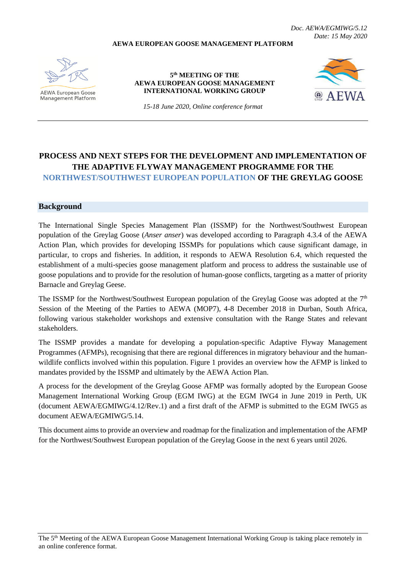**AEWA EUROPEAN GOOSE MANAGEMENT PLATFORM**

*Doc. AEWA/EGMIWG/5.12 Date: 15 May 2020*

**AEWA European Goose Management Platform** 

#### **5 th MEETING OF THE AEWA EUROPEAN GOOSE MANAGEMENT INTERNATIONAL WORKING GROUP**



*15-18 June 2020, Online conference format*

# **PROCESS AND NEXT STEPS FOR THE DEVELOPMENT AND IMPLEMENTATION OF THE ADAPTIVE FLYWAY MANAGEMENT PROGRAMME FOR THE NORTHWEST/SOUTHWEST EUROPEAN POPULATION OF THE GREYLAG GOOSE**

### **Background**

The International Single Species Management Plan (ISSMP) for the Northwest/Southwest European population of the Greylag Goose (*Anser anser*) was developed according to Paragraph 4.3.4 of the AEWA Action Plan, which provides for developing ISSMPs for populations which cause significant damage, in particular, to crops and fisheries. In addition, it responds to AEWA Resolution 6.4, which requested the establishment of a multi-species goose management platform and process to address the sustainable use of goose populations and to provide for the resolution of human-goose conflicts, targeting as a matter of priority Barnacle and Greylag Geese.

The ISSMP for the Northwest/Southwest European population of the Greylag Goose was adopted at the  $7<sup>th</sup>$ Session of the Meeting of the Parties to AEWA (MOP7), 4-8 December 2018 in Durban, South Africa, following various stakeholder workshops and extensive consultation with the Range States and relevant stakeholders.

The ISSMP provides a mandate for developing a population-specific Adaptive Flyway Management Programmes (AFMPs), recognising that there are regional differences in migratory behaviour and the humanwildlife conflicts involved within this population. Figure 1 provides an overview how the AFMP is linked to mandates provided by the ISSMP and ultimately by the AEWA Action Plan.

A process for the development of the Greylag Goose AFMP was formally adopted by the European Goose Management International Working Group (EGM IWG) at the EGM IWG4 in June 2019 in Perth, UK (document AEWA/EGMIWG/4.12/Rev.1) and a first draft of the AFMP is submitted to the EGM IWG5 as document AEWA/EGMIWG/5.14

This document aims to provide an overview and roadmap for the finalization and implementation of the AFMP for the Northwest/Southwest European population of the Greylag Goose in the next 6 years until 2026.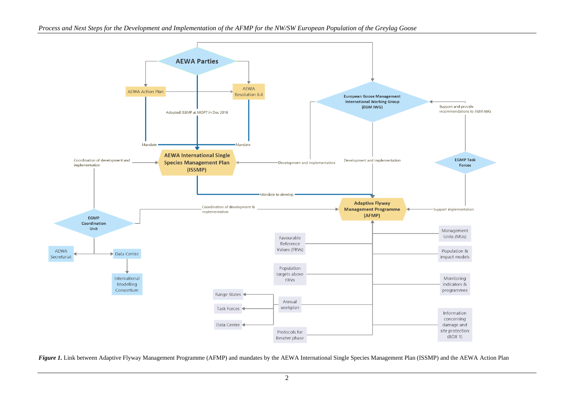

*Figure 1.* Link between Adaptive Flyway Management Programme (AFMP) and mandates by the AEWA International Single Species Management Plan (ISSMP) and the AEWA Action Plan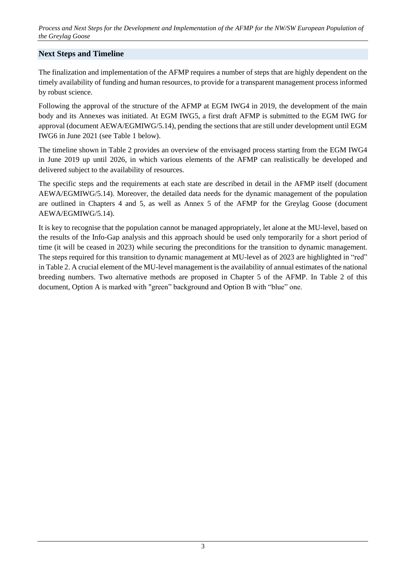*Process and Next Steps for the Development and Implementation of the AFMP for the NW/SW European Population of the Greylag Goose*

#### **Next Steps and Timeline**

The finalization and implementation of the AFMP requires a number of steps that are highly dependent on the timely availability of funding and human resources, to provide for a transparent management process informed by robust science.

Following the approval of the structure of the AFMP at EGM IWG4 in 2019, the development of the main body and its Annexes was initiated. At EGM IWG5, a first draft AFMP is submitted to the EGM IWG for approval (document AEWA/EGMIWG/5.14), pending the sections that are still under development until EGM IWG6 in June 2021 (see Table 1 below).

The timeline shown in Table 2 provides an overview of the envisaged process starting from the EGM IWG4 in June 2019 up until 2026, in which various elements of the AFMP can realistically be developed and delivered subject to the availability of resources.

The specific steps and the requirements at each state are described in detail in the AFMP itself (document AEWA/EGMIWG/5.14). Moreover, the detailed data needs for the dynamic management of the population are outlined in Chapters 4 and 5, as well as Annex 5 of the AFMP for the Greylag Goose (document AEWA/EGMIWG/5.14).

It is key to recognise that the population cannot be managed appropriately, let alone at the MU-level, based on the results of the Info-Gap analysis and this approach should be used only temporarily for a short period of time (it will be ceased in 2023) while securing the preconditions for the transition to dynamic management. The steps required for this transition to dynamic management at MU-level as of 2023 are highlighted in "red" in Table 2. A crucial element of the MU-level management is the availability of annual estimates of the national breeding numbers. Two alternative methods are proposed in Chapter 5 of the AFMP. In Table 2 of this document, Option A is marked with "green" background and Option B with "blue" one.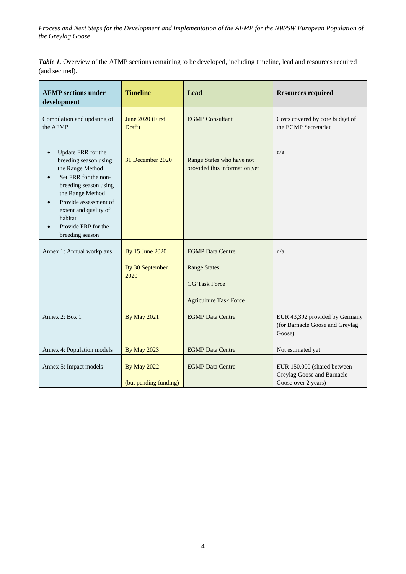*Table 1.* Overview of the AFMP sections remaining to be developed, including timeline, lead and resources required (and secured).

| <b>AFMP</b> sections under<br>development                                                                                                                                                                                                                | <b>Timeline</b>                             | Lead                                                                   | <b>Resources required</b>                                                        |  |
|----------------------------------------------------------------------------------------------------------------------------------------------------------------------------------------------------------------------------------------------------------|---------------------------------------------|------------------------------------------------------------------------|----------------------------------------------------------------------------------|--|
| Compilation and updating of<br>the AFMP                                                                                                                                                                                                                  | June 2020 (First<br>Draft)                  | <b>EGMP</b> Consultant                                                 | Costs covered by core budget of<br>the EGMP Secretariat                          |  |
| Update FRR for the<br>$\bullet$<br>breeding season using<br>the Range Method<br>Set FRR for the non-<br>breeding season using<br>the Range Method<br>Provide assessment of<br>extent and quality of<br>habitat<br>Provide FRP for the<br>breeding season | 31 December 2020                            | Range States who have not<br>provided this information yet             | n/a                                                                              |  |
| Annex 1: Annual workplans                                                                                                                                                                                                                                | By 15 June 2020<br>By 30 September<br>2020  | <b>EGMP</b> Data Centre<br><b>Range States</b><br><b>GG Task Force</b> | n/a                                                                              |  |
| Annex 2: Box 1                                                                                                                                                                                                                                           | <b>By May 2021</b>                          | <b>Agriculture Task Force</b><br><b>EGMP</b> Data Centre               | EUR 43,392 provided by Germany<br>(for Barnacle Goose and Greylag<br>Goose)      |  |
| Annex 4: Population models                                                                                                                                                                                                                               | <b>By May 2023</b>                          | <b>EGMP</b> Data Centre                                                | Not estimated yet                                                                |  |
| Annex 5: Impact models                                                                                                                                                                                                                                   | <b>By May 2022</b><br>(but pending funding) | <b>EGMP</b> Data Centre                                                | EUR 150,000 (shared between<br>Greylag Goose and Barnacle<br>Goose over 2 years) |  |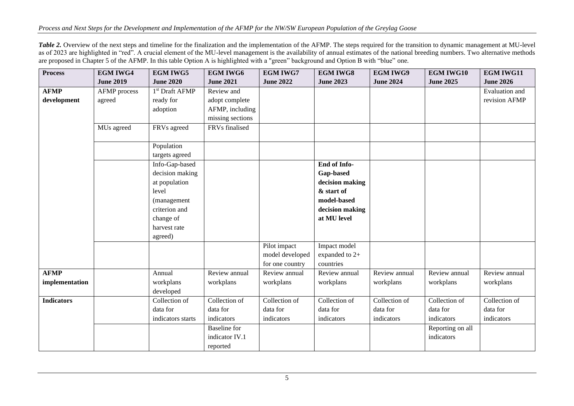*Table 2.* Overview of the next steps and timeline for the finalization and the implementation of the AFMP. The steps required for the transition to dynamic management at MU-level as of 2023 are highlighted in "red". A crucial element of the MU-level management is the availability of annual estimates of the national breeding numbers. Two alternative methods are proposed in Chapter 5 of the AFMP. In this table Option A is highlighted with a "green" background and Option B with "blue" one.

| <b>Process</b>    | <b>EGM IWG4</b>     | <b>EGM IWG5</b>            | <b>EGM IWG6</b>     | <b>EGM IWG7</b>  | <b>EGM IWG8</b>  | <b>EGM IWG9</b>  | <b>EGM IWG10</b> | <b>EGM IWG11</b> |
|-------------------|---------------------|----------------------------|---------------------|------------------|------------------|------------------|------------------|------------------|
|                   | <b>June 2019</b>    | <b>June 2020</b>           | <b>June 2021</b>    | <b>June 2022</b> | <b>June 2023</b> | <b>June 2024</b> | <b>June 2025</b> | <b>June 2026</b> |
| <b>AFMP</b>       | <b>AFMP</b> process | 1 <sup>st</sup> Draft AFMP | Review and          |                  |                  |                  |                  | Evaluation and   |
| development       | agreed              | ready for                  | adopt complete      |                  |                  |                  |                  | revision AFMP    |
|                   |                     | adoption                   | AFMP, including     |                  |                  |                  |                  |                  |
|                   |                     |                            | missing sections    |                  |                  |                  |                  |                  |
|                   | MUs agreed          | FRVs agreed                | FRVs finalised      |                  |                  |                  |                  |                  |
|                   |                     | Population                 |                     |                  |                  |                  |                  |                  |
|                   |                     | targets agreed             |                     |                  |                  |                  |                  |                  |
|                   |                     | Info-Gap-based             |                     |                  | End of Info-     |                  |                  |                  |
|                   |                     | decision making            |                     |                  | Gap-based        |                  |                  |                  |
|                   |                     | at population              |                     |                  | decision making  |                  |                  |                  |
|                   |                     | level                      |                     |                  | & start of       |                  |                  |                  |
|                   |                     | (management                |                     |                  | model-based      |                  |                  |                  |
|                   |                     | criterion and              |                     |                  | decision making  |                  |                  |                  |
|                   |                     | change of                  |                     |                  | at MU level      |                  |                  |                  |
|                   |                     | harvest rate               |                     |                  |                  |                  |                  |                  |
|                   |                     | agreed)                    |                     |                  |                  |                  |                  |                  |
|                   |                     |                            |                     | Pilot impact     | Impact model     |                  |                  |                  |
|                   |                     |                            |                     | model developed  | expanded to 2+   |                  |                  |                  |
|                   |                     |                            |                     | for one country  | countries        |                  |                  |                  |
| <b>AFMP</b>       |                     | Annual                     | Review annual       | Review annual    | Review annual    | Review annual    | Review annual    | Review annual    |
| implementation    |                     | workplans                  | workplans           | workplans        | workplans        | workplans        | workplans        | workplans        |
|                   |                     | developed                  |                     |                  |                  |                  |                  |                  |
| <b>Indicators</b> |                     | Collection of              | Collection of       | Collection of    | Collection of    | Collection of    | Collection of    | Collection of    |
|                   |                     | data for                   | data for            | data for         | data for         | data for         | data for         | data for         |
|                   |                     | indicators starts          | indicators          | indicators       | indicators       | indicators       | indicators       | indicators       |
|                   |                     |                            | <b>Baseline</b> for |                  |                  |                  | Reporting on all |                  |
|                   |                     |                            | indicator IV.1      |                  |                  |                  | indicators       |                  |
|                   |                     |                            | reported            |                  |                  |                  |                  |                  |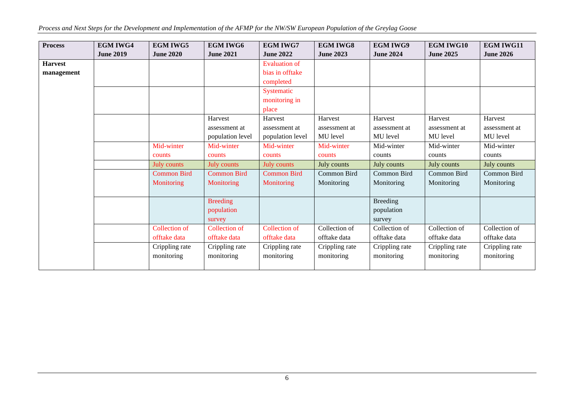*Process and Next Steps for the Development and Implementation of the AFMP for the NW/SW European Population of the Greylag Goose*

| <b>Process</b> | <b>EGM IWG4</b>  | <b>EGM IWG5</b>    | <b>EGM IWG6</b>    | <b>EGM IWG7</b>      | <b>EGM IWG8</b>  | <b>EGM IWG9</b>  | <b>EGM IWG10</b> | <b>EGM IWG11</b> |
|----------------|------------------|--------------------|--------------------|----------------------|------------------|------------------|------------------|------------------|
|                | <b>June 2019</b> | <b>June 2020</b>   | <b>June 2021</b>   | <b>June 2022</b>     | <b>June 2023</b> | <b>June 2024</b> | <b>June 2025</b> | <b>June 2026</b> |
| <b>Harvest</b> |                  |                    |                    | <b>Evaluation of</b> |                  |                  |                  |                  |
| management     |                  |                    |                    | bias in offtake      |                  |                  |                  |                  |
|                |                  |                    |                    | completed            |                  |                  |                  |                  |
|                |                  |                    |                    | Systematic           |                  |                  |                  |                  |
|                |                  |                    |                    | monitoring in        |                  |                  |                  |                  |
|                |                  |                    |                    | place                |                  |                  |                  |                  |
|                |                  |                    | Harvest            | Harvest              | Harvest          | Harvest          | Harvest          | Harvest          |
|                |                  |                    | assessment at      | assessment at        | assessment at    | assessment at    | assessment at    | assessment at    |
|                |                  |                    | population level   | population level     | MU level         | MU level         | MU level         | MU level         |
|                |                  | Mid-winter         | Mid-winter         | Mid-winter           | Mid-winter       | Mid-winter       | Mid-winter       | Mid-winter       |
|                |                  | counts             | counts             | counts               | counts           | counts           | counts           | counts           |
|                |                  | July counts        | <b>July counts</b> | July counts          | July counts      | July counts      | July counts      | July counts      |
|                |                  | <b>Common Bird</b> | <b>Common Bird</b> | <b>Common Bird</b>   | Common Bird      | Common Bird      | Common Bird      | Common Bird      |
|                |                  | Monitoring         | Monitoring         | Monitoring           | Monitoring       | Monitoring       | Monitoring       | Monitoring       |
|                |                  |                    |                    |                      |                  |                  |                  |                  |
|                |                  |                    | <b>Breeding</b>    |                      |                  | <b>Breeding</b>  |                  |                  |
|                |                  |                    | population         |                      |                  | population       |                  |                  |
|                |                  |                    | survey             |                      |                  | survey           |                  |                  |
|                |                  | Collection of      | Collection of      | Collection of        | Collection of    | Collection of    | Collection of    | Collection of    |
|                |                  | offtake data       | offtake data       | offtake data         | offtake data     | offtake data     | offtake data     | offtake data     |
|                |                  | Crippling rate     | Crippling rate     | Crippling rate       | Crippling rate   | Crippling rate   | Crippling rate   | Crippling rate   |
|                |                  | monitoring         | monitoring         | monitoring           | monitoring       | monitoring       | monitoring       | monitoring       |
|                |                  |                    |                    |                      |                  |                  |                  |                  |